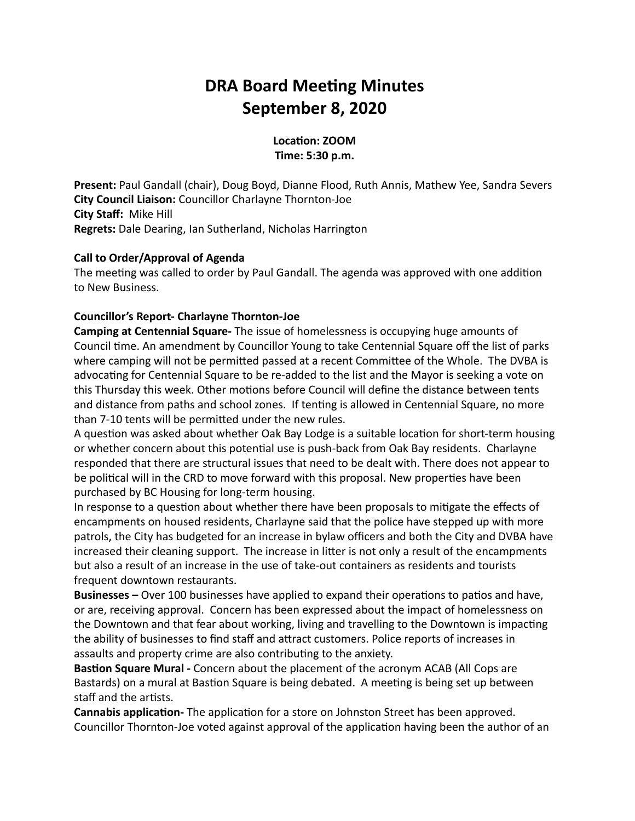# **DRA Board Meeting Minutes September 8, 2020**

Location: **ZOOM Time: 5:30 p.m.**

**Present:** Paul Gandall (chair), Doug Boyd, Dianne Flood, Ruth Annis, Mathew Yee, Sandra Severs **City Council Liaison:** Councillor Charlayne Thornton-Joe **City Staff:** Mike Hill **Regrets:** Dale Dearing, Ian Sutherland, Nicholas Harrington

#### **Call to Order/Approval of Agenda**

The meeting was called to order by Paul Gandall. The agenda was approved with one addition to New Business.

## **Councillor's Report- Charlayne Thornton-Joe**

**Camping at Centennial Square-** The issue of homelessness is occupying huge amounts of Council time. An amendment by Councillor Young to take Centennial Square off the list of parks where camping will not be permitted passed at a recent Committee of the Whole. The DVBA is advocating for Centennial Square to be re-added to the list and the Mayor is seeking a vote on this Thursday this week. Other motions before Council will define the distance between tents and distance from paths and school zones. If tenting is allowed in Centennial Square, no more than 7-10 tents will be permitted under the new rules.

A question was asked about whether Oak Bay Lodge is a suitable location for short-term housing or whether concern about this potential use is push-back from Oak Bay residents. Charlayne responded that there are structural issues that need to be dealt with. There does not appear to be political will in the CRD to move forward with this proposal. New properties have been purchased by BC Housing for long-term housing.

In response to a question about whether there have been proposals to mitigate the effects of encampments on housed residents, Charlayne said that the police have stepped up with more patrols, the City has budgeted for an increase in bylaw officers and both the City and DVBA have increased their cleaning support. The increase in litter is not only a result of the encampments but also a result of an increase in the use of take-out containers as residents and tourists frequent downtown restaurants.

**Businesses** – Over 100 businesses have applied to expand their operations to patios and have, or are, receiving approval. Concern has been expressed about the impact of homelessness on the Downtown and that fear about working, living and travelling to the Downtown is impacting the ability of businesses to find staff and attract customers. Police reports of increases in assaults and property crime are also contributing to the anxiety.

**Bastion Square Mural - Concern about the placement of the acronym ACAB (All Cops are** Bastards) on a mural at Bastion Square is being debated. A meeting is being set up between staff and the artists.

**Cannabis application-** The application for a store on Johnston Street has been approved. Councillor Thornton-Joe voted against approval of the application having been the author of an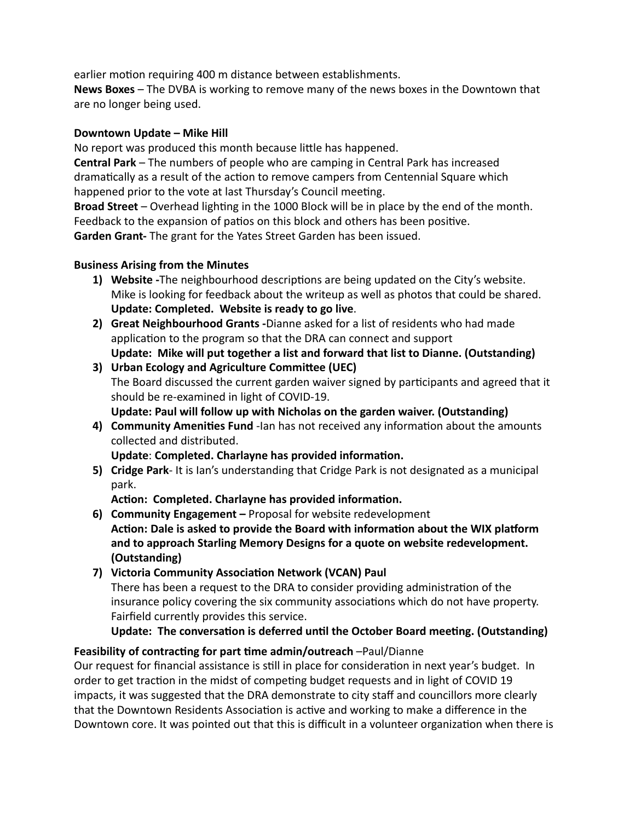earlier motion requiring 400 m distance between establishments.

**News Boxes** – The DVBA is working to remove many of the news boxes in the Downtown that are no longer being used.

## **Downtown Update – Mike Hill**

No report was produced this month because little has happened.

**Central Park** – The numbers of people who are camping in Central Park has increased dramatically as a result of the action to remove campers from Centennial Square which happened prior to the vote at last Thursday's Council meeting.

Broad Street – Overhead lighting in the 1000 Block will be in place by the end of the month. Feedback to the expansion of patios on this block and others has been positive.

**Garden Grant-** The grant for the Yates Street Garden has been issued.

## **Business Arising from the Minutes**

- **Update: Completed. Website is ready to go live**. 1) Website -The neighbourhood descriptions are being updated on the City's website. Mike is looking for feedback about the writeup as well as photos that could be shared.
- **Update: Mike will put together a list and forward that list to Dianne. (Outstanding) Great Neighbourhood Grants -**Dianne asked for a list of residents who had made **2)** application to the program so that the DRA can connect and support
- The Board discussed the current garden waiver signed by participants and agreed that it should be re-examined in light of COVID-19. **Update: Paul will follow up with Nicholas on the garden waiver. (Outstanding) 3)** Urban Ecology and Agriculture Committee (UEC)
- 4) Community Amenities Fund -lan has not received any information about the amounts collected and distributed.

Update: Completed. Charlayne has provided information.

**Cridge Park**- It is Ian's understanding that Cridge Park is not designated as a municipal **5)** park.

Action: Completed. Charlayne has provided information.

Action: Dale is asked to provide the Board with information about the WIX platform **and to approach Starling Memory Designs for a quote on website redevelopment. (Outstanding) 6) Community Engagement –** Proposal for website redevelopment

There has been a request to the DRA to consider providing administration of the insurance policy covering the six community associations which do not have property. Fairfield currently provides this service. **7) Victoria Community Association Network (VCAN) Paul** 

## Update: The conversation is deferred until the October Board meeting. (Outstanding)

## **Feasibility of contracting for part time admin/outreach** –Paul/Dianne

Our request for financial assistance is still in place for consideration in next year's budget. In order to get traction in the midst of competing budget requests and in light of COVID 19 impacts, it was suggested that the DRA demonstrate to city staff and councillors more clearly that the Downtown Residents Association is active and working to make a difference in the Downtown core. It was pointed out that this is difficult in a volunteer organization when there is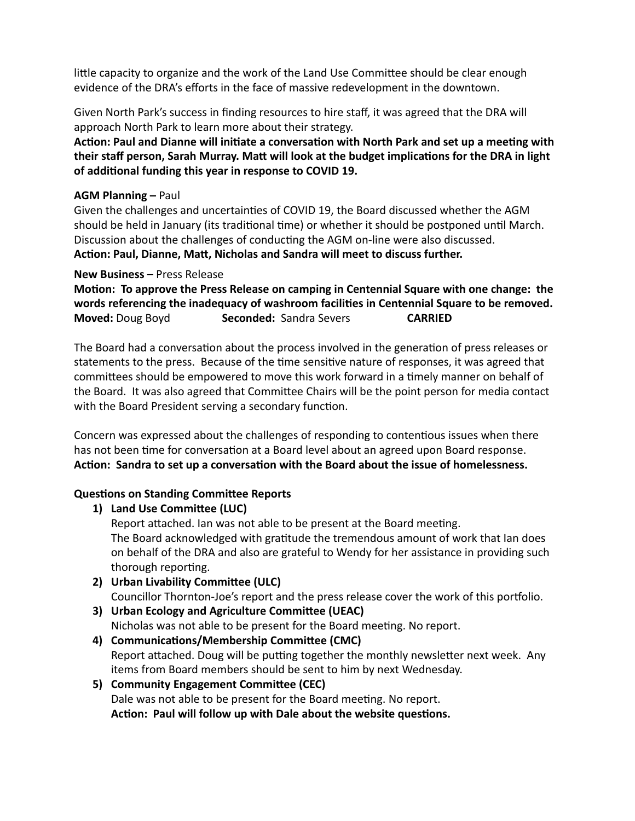little capacity to organize and the work of the Land Use Committee should be clear enough evidence of the DRA's efforts in the face of massive redevelopment in the downtown.

Given North Park's success in finding resources to hire staff, it was agreed that the DRA will approach North Park to learn more about their strategy.

Action: Paul and Dianne will initiate a conversation with North Park and set up a meeting with their staff person, Sarah Murray. Matt will look at the budget implications for the DRA in light of additional funding this year in response to COVID 19.

#### **AGM Planning –** Paul

Given the challenges and uncertainties of COVID 19, the Board discussed whether the AGM should be held in January (its traditional time) or whether it should be postponed until March. Discussion about the challenges of conducting the AGM on-line were also discussed. Action: Paul, Dianne, Matt, Nicholas and Sandra will meet to discuss further.

#### **New Business** – Press Release

**Motion: To approve the Press Release on camping in Centennial Square with one change: the** words referencing the inadequacy of washroom facilities in Centennial Square to be removed. **Moved:** Doug Boyd **Seconded:** Sandra Severs **CARRIED**

The Board had a conversation about the process involved in the generation of press releases or statements to the press. Because of the time sensitive nature of responses, it was agreed that committees should be empowered to move this work forward in a timely manner on behalf of the Board. It was also agreed that Committee Chairs will be the point person for media contact with the Board President serving a secondary function.

Concern was expressed about the challenges of responding to contentious issues when there has not been time for conversation at a Board level about an agreed upon Board response. Action: Sandra to set up a conversation with the Board about the issue of homelessness.

## **Questions on Standing Committee Reports**

## **1)** Land Use Committee (LUC)

Report attached. Ian was not able to be present at the Board meeting. The Board acknowledged with gratitude the tremendous amount of work that Ian does on behalf of the DRA and also are grateful to Wendy for her assistance in providing such thorough reporting.

- Councillor Thornton-Joe's report and the press release cover the work of this portfolio. **2)** Urban Livability Committee (ULC)
- Nicholas was not able to be present for the Board meeting. No report. **3)** Urban Ecology and Agriculture Committee (UEAC)
- Report attached. Doug will be putting together the monthly newsletter next week. Any items from Board members should be sent to him by next Wednesday. 4) **Communications/Membership Committee (CMC)**
- Dale was not able to be present for the Board meeting. No report. Action: Paul will follow up with Dale about the website questions. **5)** Community Engagement Committee (CEC)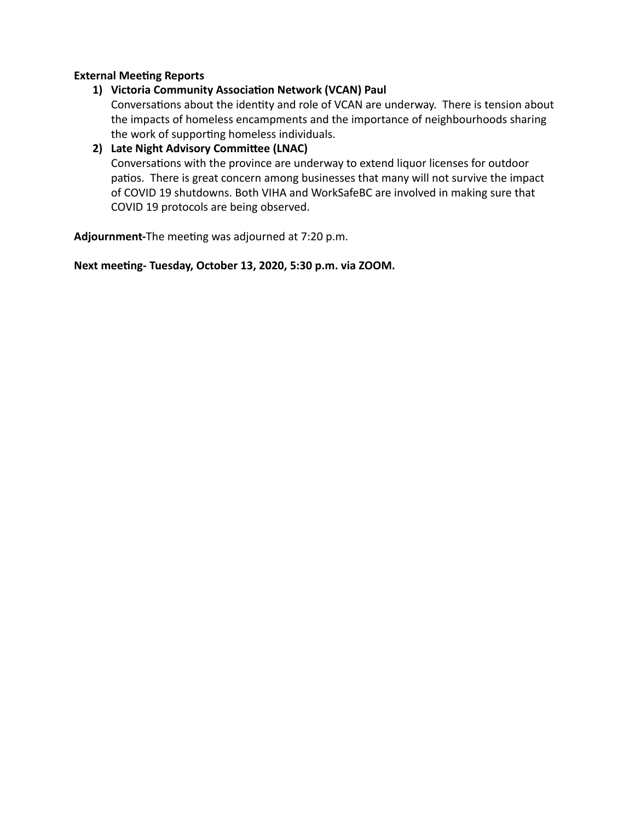#### **External Meeting Reports**

## 1) Victoria Community Association Network (VCAN) Paul

Conversations about the identity and role of VCAN are underway. There is tension about the impacts of homeless encampments and the importance of neighbourhoods sharing the work of supporting homeless individuals.

#### **2)** Late Night Advisory Committee (LNAC)

Conversations with the province are underway to extend liquor licenses for outdoor patios. There is great concern among businesses that many will not survive the impact of COVID 19 shutdowns. Both VIHA and WorkSafeBC are involved in making sure that COVID 19 protocols are being observed.

Adjournment-The meeting was adjourned at 7:20 p.m.

Next meeting- Tuesday, October 13, 2020, 5:30 p.m. via ZOOM.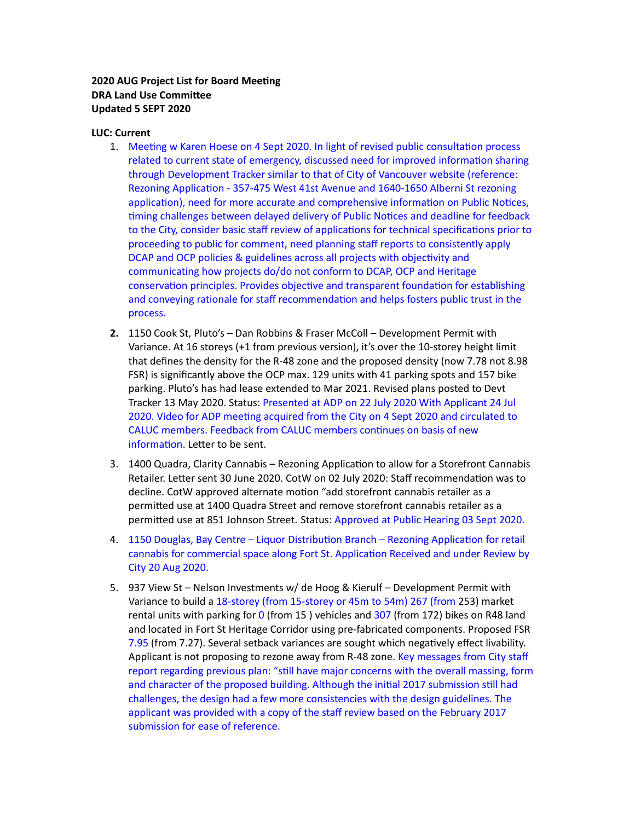#### **2020 AUG Project List for Board Meeting DRA** Land Use Committee **Updated 5 SEPT 2020**

#### **LUC: Current**

- 1. Meeting w Karen Hoese on 4 Sept 2020. In light of revised public consultation process related to current state of emergency, discussed need for improved information sharing through Development Tracker similar to that of City of Vancouver website (reference: Rezoning Application - 357-475 West 41st Avenue and 1640-1650 Alberni St rezoning application), need for more accurate and comprehensive information on Public Notices, timing challenges between delayed delivery of Public Notices and deadline for feedback to the City, consider basic staff review of applications for technical specifications prior to proceeding to public for comment, need planning staff reports to consistently apply DCAP and OCP policies & guidelines across all projects with objectivity and communicating how projects do/do not conform to DCAP, OCP and Heritage conservation principles. Provides objective and transparent foundation for establishing and conveying rationale for staff recommendation and helps fosters public trust in the process.
- 1150 Cook St, Pluto's Dan Robbins & Fraser McColl Development Permit with **2.** Variance. At 16 storeys (+1 from previous version), it's over the 10-storey height limit that defines the density for the R-48 zone and the proposed density (now 7.78 not 8.98 FSR) is significantly above the OCP max. 129 units with 41 parking spots and 157 bike parking. Pluto's has had lease extended to Mar 2021. Revised plans posted to Devt Tracker 13 May 2020. Status: Presented at ADP on 22 July 2020 With Applicant 24 Jul 2020. Video for ADP meeting acquired from the City on 4 Sept 2020 and circulated to CALUC members. Feedback from CALUC members continues on basis of new information. Letter to be sent.
- 3. 1400 Quadra, Clarity Cannabis Rezoning Application to allow for a Storefront Cannabis Retailer. Letter sent 30 June 2020. CotW on 02 July 2020: Staff recommendation was to decline. CotW approved alternate motion "add storefront cannabis retailer as a permitted use at 1400 Quadra Street and remove storefront cannabis retailer as a permitted use at 851 Johnson Street. Status: Approved at Public Hearing 03 Sept 2020.
- 4. 1150 Douglas, Bay Centre Liquor Distribution Branch Rezoning Application for retail cannabis for commercial space along Fort St. Application Received and under Review by City 20 Aug 2020.
- 937 View St Nelson Investments w/ de Hoog & Kierulf Development Permit with 5.Variance to build a 18-storey (from 15-storey or 45m to 54m) 267 (from 253) market rental units with parking for 0 (from 15) vehicles and 307 (from 172) bikes on R48 land and located in Fort St Heritage Corridor using pre-fabricated components. Proposed FSR 7.95 (from 7.27). Several setback variances are sought which negatively effect livability. Applicant is not proposing to rezone away from R-48 zone. Key messages from City staff report regarding previous plan: "still have major concerns with the overall massing, form and character of the proposed building. Although the initial 2017 submission still had challenges, the design had a few more consistencies with the design guidelines. The applicant was provided with a copy of the staff review based on the February 2017 submission for ease of reference.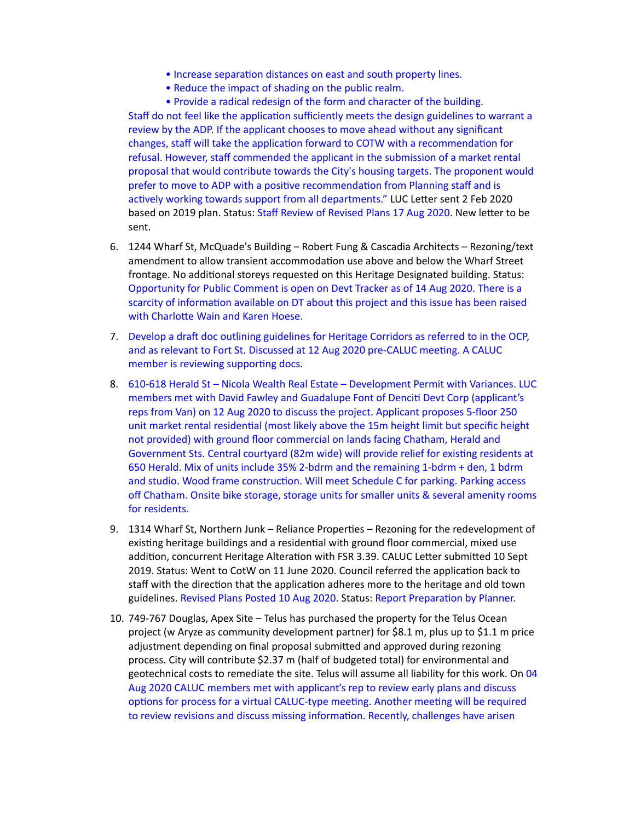- Increase separation distances on east and south property lines.
- Reduce the impact of shading on the public realm.

• Provide a radical redesign of the form and character of the building. Staff do not feel like the application sufficiently meets the design guidelines to warrant a review by the ADP. If the applicant chooses to move ahead without any significant changes, staff will take the application forward to COTW with a recommendation for refusal. However, staff commended the applicant in the submission of a market rental proposal that would contribute towards the City's housing targets. The proponent would prefer to move to ADP with a positive recommendation from Planning staff and is actively working towards support from all departments." LUC Letter sent 2 Feb 2020 based on 2019 plan. Status: Staff Review of Revised Plans 17 Aug 2020. New letter to be sent.

- 6. 1244 Wharf St, McQuade's Building Robert Fung & Cascadia Architects Rezoning/text amendment to allow transient accommodation use above and below the Wharf Street frontage. No additional storeys requested on this Heritage Designated building. Status: Opportunity for Public Comment is open on Devt Tracker as of 14 Aug 2020. There is a scarcity of information available on DT about this project and this issue has been raised with Charlotte Wain and Karen Hoese.
- 7. Develop a draft doc outlining guidelines for Heritage Corridors as referred to in the OCP, and as relevant to Fort St. Discussed at 12 Aug 2020 pre-CALUC meeting. A CALUC member is reviewing supporting docs.
- 8. 610-618 Herald St Nicola Wealth Real Estate Development Permit with Variances. LUC members met with David Fawley and Guadalupe Font of Denciti Devt Corp (applicant's reps from Van) on 12 Aug 2020 to discuss the project. Applicant proposes 5-floor 250 unit market rental residential (most likely above the 15m height limit but specific height not provided) with ground floor commercial on lands facing Chatham, Herald and Government Sts. Central courtyard (82m wide) will provide relief for existing residents at 650 Herald. Mix of units include 35% 2-bdrm and the remaining 1-bdrm + den, 1 bdrm and studio. Wood frame construction. Will meet Schedule C for parking. Parking access off Chatham. Onsite bike storage, storage units for smaller units & several amenity rooms for residents.
- 9. 1314 Wharf St, Northern Junk Reliance Properties Rezoning for the redevelopment of existing heritage buildings and a residential with ground floor commercial, mixed use addition, concurrent Heritage Alteration with FSR 3.39. CALUC Letter submitted 10 Sept 2019. Status: Went to CotW on 11 June 2020. Council referred the application back to staff with the direction that the application adheres more to the heritage and old town guidelines. Revised Plans Posted 10 Aug 2020. Status: Report Preparation by Planner.
- 10. 749-767 Douglas, Apex Site Telus has purchased the property for the Telus Ocean project (w Aryze as community development partner) for \$8.1 m, plus up to \$1.1 m price adjustment depending on final proposal submitted and approved during rezoning process. City will contribute \$2.37 m (half of budgeted total) for environmental and geotechnical costs to remediate the site. Telus will assume all liability for this work. On 04 Aug 2020 CALUC members met with applicant's rep to review early plans and discuss options for process for a virtual CALUC-type meeting. Another meeting will be required to review revisions and discuss missing information. Recently, challenges have arisen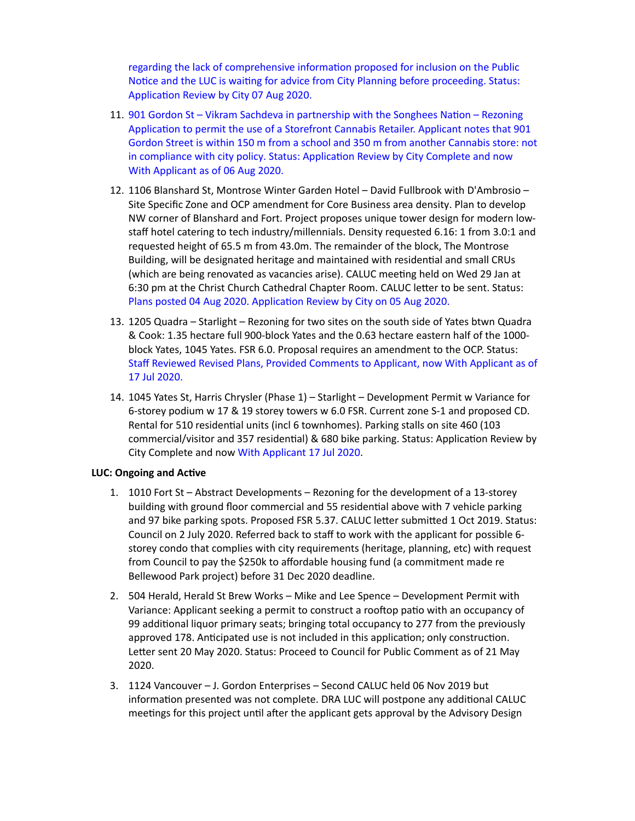regarding the lack of comprehensive information proposed for inclusion on the Public Notice and the LUC is waiting for advice from City Planning before proceeding. Status: Application Review by City 07 Aug 2020.

- 11. 901 Gordon St Vikram Sachdeva in partnership with the Songhees Nation Rezoning Application to permit the use of a Storefront Cannabis Retailer. Applicant notes that 901 Gordon Street is within 150 m from a school and 350 m from another Cannabis store: not in compliance with city policy. Status: Application Review by City Complete and now With Applicant as of 06 Aug 2020.
- 12. 1106 Blanshard St, Montrose Winter Garden Hotel David Fullbrook with D'Ambrosio -Site Specific Zone and OCP amendment for Core Business area density. Plan to develop NW corner of Blanshard and Fort. Project proposes unique tower design for modern lowstaff hotel catering to tech industry/millennials. Density requested 6.16: 1 from 3.0:1 and requested height of 65.5 m from 43.0m. The remainder of the block, The Montrose Building, will be designated heritage and maintained with residential and small CRUs (which are being renovated as vacancies arise). CALUC meeting held on Wed 29 Jan at 6:30 pm at the Christ Church Cathedral Chapter Room. CALUC letter to be sent. Status: Plans posted 04 Aug 2020. Application Review by City on 05 Aug 2020.
- 13. 1205 Quadra Starlight Rezoning for two sites on the south side of Yates btwn Quadra & Cook: 1.35 hectare full 900-block Yates and the 0.63 hectare eastern half of the 1000 block Yates, 1045 Yates. FSR 6.0. Proposal requires an amendment to the OCP. Status: Staff Reviewed Revised Plans, Provided Comments to Applicant, now With Applicant as of 17 Jul 2020.
- 14. 1045 Yates St, Harris Chrysler (Phase 1) Starlight Development Permit w Variance for 6-storey podium w 17 & 19 storey towers w 6.0 FSR. Current zone S-1 and proposed CD. Rental for 510 residential units (incl 6 townhomes). Parking stalls on site 460 (103 commercial/visitor and 357 residential) & 680 bike parking. Status: Application Review by City Complete and now With Applicant 17 Jul 2020.

#### **LUC: Ongoing and Active**

- 1. 1010 Fort St Abstract Developments Rezoning for the development of a 13-storey building with ground floor commercial and 55 residential above with 7 vehicle parking and 97 bike parking spots. Proposed FSR 5.37. CALUC letter submitted 1 Oct 2019. Status: Council on 2 July 2020. Referred back to staff to work with the applicant for possible 6 storey condo that complies with city requirements (heritage, planning, etc) with request from Council to pay the \$250k to affordable housing fund (a commitment made re Bellewood Park project) before 31 Dec 2020 deadline.
- 2. 504 Herald, Herald St Brew Works Mike and Lee Spence Development Permit with Variance: Applicant seeking a permit to construct a rooftop patio with an occupancy of 99 additional liquor primary seats; bringing total occupancy to 277 from the previously approved 178. Anticipated use is not included in this application; only construction. Letter sent 20 May 2020. Status: Proceed to Council for Public Comment as of 21 May 2020.
- 3. 1124 Vancouver J. Gordon Enterprises Second CALUC held 06 Nov 2019 but information presented was not complete. DRA LUC will postpone any additional CALUC meetings for this project until after the applicant gets approval by the Advisory Design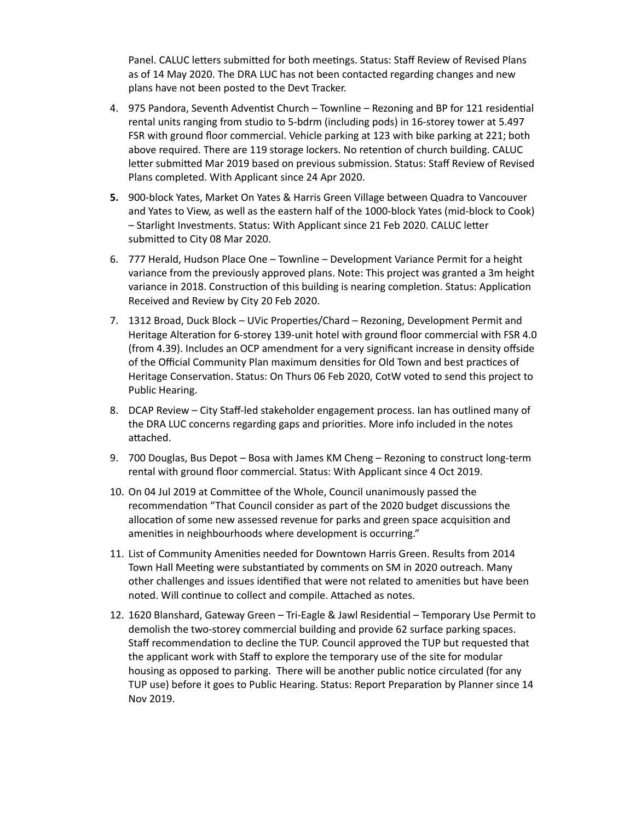Panel. CALUC letters submitted for both meetings. Status: Staff Review of Revised Plans as of 14 May 2020. The DRA LUC has not been contacted regarding changes and new plans have not been posted to the Devt Tracker.

- 4. 975 Pandora, Seventh Adventist Church Townline Rezoning and BP for 121 residential rental units ranging from studio to 5-bdrm (including pods) in 16-storey tower at 5.497 FSR with ground floor commercial. Vehicle parking at 123 with bike parking at 221; both above required. There are 119 storage lockers. No retention of church building. CALUC letter submitted Mar 2019 based on previous submission. Status: Staff Review of Revised Plans completed. With Applicant since 24 Apr 2020.
- 900-block Yates, Market On Yates & Harris Green Village between Quadra to Vancouver **5.** and Yates to View, as well as the eastern half of the 1000-block Yates (mid-block to Cook) – Starlight Investments. Status: With Applicant since 21 Feb 2020. CALUC letter submitted to City 08 Mar 2020.
- 777 Herald, Hudson Place One Townline Development Variance Permit for a height 6. variance from the previously approved plans. Note: This project was granted a 3m height variance in 2018. Construction of this building is nearing completion. Status: Application Received and Review by City 20 Feb 2020.
- 7. 1312 Broad, Duck Block UVic Properties/Chard Rezoning, Development Permit and Heritage Alteration for 6-storey 139-unit hotel with ground floor commercial with FSR 4.0 (from 4.39). Includes an OCP amendment for a very significant increase in density offside of the Official Community Plan maximum densities for Old Town and best practices of Heritage Conservation. Status: On Thurs 06 Feb 2020, CotW voted to send this project to Public Hearing.
- 8. DCAP Review City Staff-led stakeholder engagement process. Ian has outlined many of the DRA LUC concerns regarding gaps and priorities. More info included in the notes attached.
- 700 Douglas, Bus Depot Bosa with James KM Cheng Rezoning to construct long-term 9. rental with ground floor commercial. Status: With Applicant since 4 Oct 2019.
- 10. On 04 Jul 2019 at Committee of the Whole, Council unanimously passed the recommendation "That Council consider as part of the 2020 budget discussions the allocation of some new assessed revenue for parks and green space acquisition and amenities in neighbourhoods where development is occurring."
- 11. List of Community Amenities needed for Downtown Harris Green. Results from 2014 Town Hall Meeting were substantiated by comments on SM in 2020 outreach. Many other challenges and issues identified that were not related to amenities but have been noted. Will continue to collect and compile. Attached as notes.
- 12. 1620 Blanshard, Gateway Green Tri-Eagle & Jawl Residential Temporary Use Permit to demolish the two-storey commercial building and provide 62 surface parking spaces. Staff recommendation to decline the TUP. Council approved the TUP but requested that the applicant work with Staff to explore the temporary use of the site for modular housing as opposed to parking. There will be another public notice circulated (for any TUP use) before it goes to Public Hearing. Status: Report Preparation by Planner since 14 Nov 2019.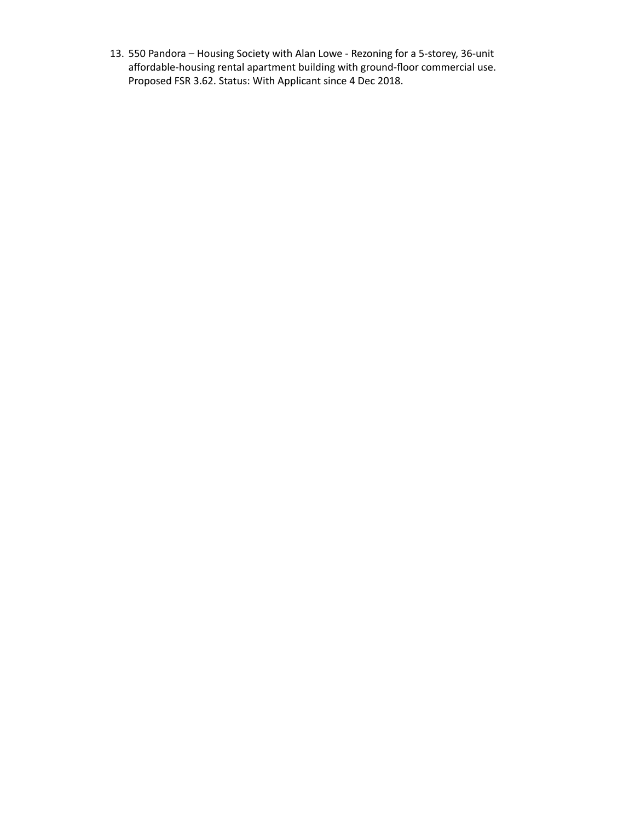550 Pandora – Housing Society with Alan Lowe - Rezoning for a 5-storey, 36-unit 13.affordable-housing rental apartment building with ground-floor commercial use. Proposed FSR 3.62. Status: With Applicant since 4 Dec 2018.